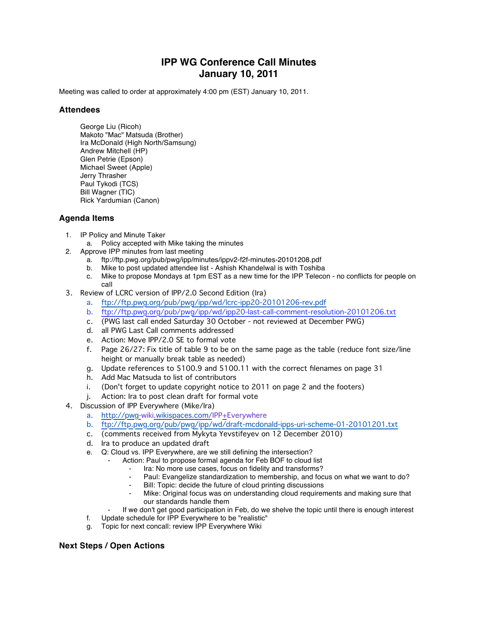## **IPP WG Conference Call Minutes January 10, 2011**

Meeting was called to order at approximately 4:00 pm (EST) January 10, 2011.

## **Attendees**

George Liu (Ricoh) Makoto "Mac" Matsuda (Brother) Ira McDonald (High North/Samsung) Andrew Mitchell (HP) Glen Petrie (Epson) Michael Sweet (Apple) Jerry Thrasher Paul Tykodi (TCS) Bill Wagner (TIC) Rick Yardumian (Canon)

## **Agenda Items**

- 1. IP Policy and Minute Taker
	- a. Policy accepted with Mike taking the minutes
- 2. Approve IPP minutes from last meeting
	- a. ftp://ftp.pwg.org/pub/pwg/ipp/minutes/ippv2-f2f-minutes-20101208.pdf
	- b. Mike to post updated attendee list Ashish Khandelwal is with Toshiba
	- c. Mike to propose Mondays at 1pm EST as a new time for the IPP Telecon no conflicts for people on call
- 3. Review of LCRC version of IPP/2.0 Second Edition (Ira)
	- a. <ftp://ftp.pwg.org/pub/pwg/ipp/wd/lcrc-ipp20-20101206-rev.pdf>
	- b. <ftp://ftp.pwg.org/pub/pwg/ipp/wd/ipp20-last-call-comment-resolution-20101206.txt>
	- c. (PWG last call ended Saturday 30 October not reviewed at December PWG)
	- d. all PWG Last Call comments addressed
	- e. Action: Move IPP/2.0 SE to formal vote
	- f. Page 26/27: Fix title of table 9 to be on the same page as the table (reduce font size/line height or manually break table as needed)
	- g. Update references to 5100.9 and 5100.11 with the correct filenames on page 31
	- h. Add Mac Matsuda to list of contributors
	- i. (Don't forget to update copyright notice to 2011 on page 2 and the footers)
	- j. Action: Ira to post clean draft for formal vote
- 4. Discussion of IPP Everywhere (Mike/Ira)
	- a. [http://pwg-](http://pwg-/)wiki.[wikispaces.com/](http://wikispaces.com/)IPP+Everywhere
	- b. <ftp://ftp.pwg.org/pub/pwg/ipp/wd/draft-mcdonald-ipps-uri-scheme-01-20101201.txt>
	- c. (comments received from Mykyta Yevstifeyev on 12 December 2010)
	- d. Ira to produce an updated draft
	- e. Q: Cloud vs. IPP Everywhere, are we still defining the intersection?
		- Action: Paul to propose formal agenda for Feb BOF to cloud list
			- Ira: No more use cases, focus on fidelity and transforms?
			- Paul: Evangelize standardization to membership, and focus on what we want to do?
			- Bill: Topic: decide the future of cloud printing discussions
			- Mike: Original focus was on understanding cloud requirements and making sure that our standards handle them
		- If we don't get good participation in Feb, do we shelve the topic until there is enough interest
	- f. Update schedule for IPP Everywhere to be "realistic"
	- g. Topic for next concall: review IPP Everywhere Wiki

## **Next Steps / Open Actions**